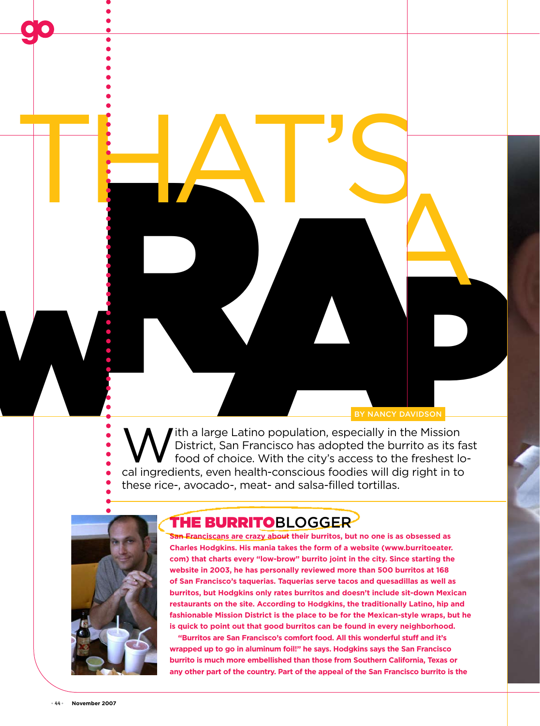a

EXAMPLE DE LATINO POPULATION, ESPERANTO AVIDE COMPANY DE LA COMPANY DE LA COMPANY DE LA COMPANY DE LA COMPANY DE LA COMPANY DE LA COMPANY DE LA COMPANY DE LA COMPANY DE LA COMPANY DE LA COMPANY DE LA COMPANY DE LA COMPANY Ith a large Latino population, especially in the Mission District, San Francisco has adopted the burrito as its fast food of choice. With the city's access to the freshest lo BY NANCY DAVIDSON cal ingredients, even health-conscious foodies will dig right in to these rice-, avocado-, meat- and salsa-filled tortillas. BY NANCY DAVID



## The BurritoBlogger

THAT'S

**San Franciscans are crazy about their burritos, but no one is as obsessed as Charles Hodgkins. His mania takes the form of a website (www.burritoeater. com) that charts every "low-brow" burrito joint in the city. Since starting the website in 2003, he has personally reviewed more than 500 burritos at 168 of San Francisco's taquerias. Taquerias serve tacos and quesadillas as well as burritos, but Hodgkins only rates burritos and doesn't include sit-down Mexican restaurants on the site. According to Hodgkins, the traditionally Latino, hip and fashionable Mission District is the place to be for the Mexican-style wraps, but he is quick to point out that good burritos can be found in every neighborhood.** 

**"Burritos are San Francisco's comfort food. All this wonderful stuff and it's wrapped up to go in aluminum foil!" he says. Hodgkins says the San Francisco burrito is much more embellished than those from Southern California, Texas or any other part of the country. Part of the appeal of the San Francisco burrito is the**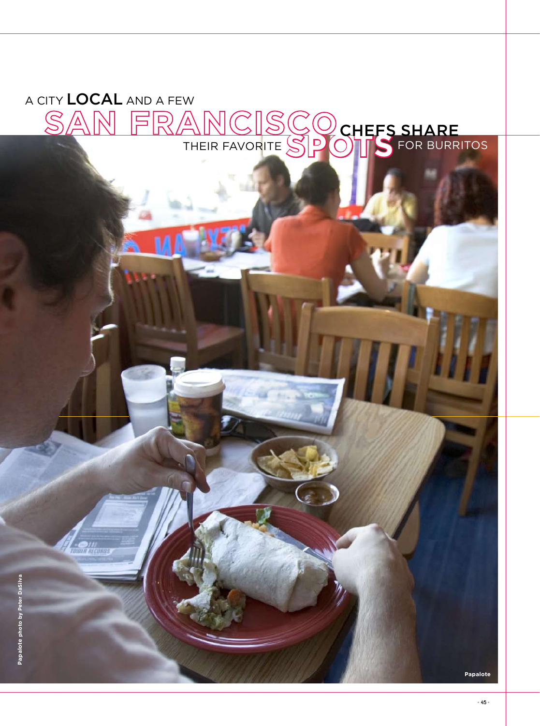## A city local and a few **A city local and a few EXAMPLE SPOTS FOR BURRITOS** SAN FRANCISCO **chefs share** their favorite spots

**Papalote**